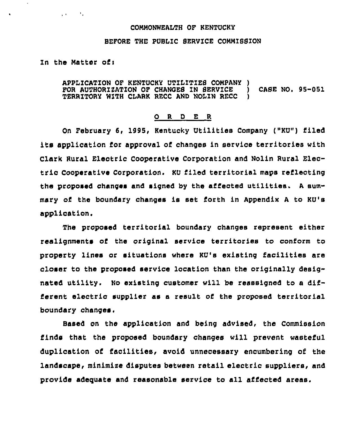## COMMONWEALTH OF KENTUCKY

## BEFORE THE PUBLIC SERUZCE COMMISS1ON

## In the Matter of:

 $\mathcal{A}(\mathcal{A})$  and  $\mathcal{A}(\mathcal{A})$ 

APPLICATION OF KENTUCKY UTILITIES COMPANY ) FOR AUTHORIZATION OF CHANGES IN SERVICE ) CASE NO. 95-051 TERRITORY WITH CLARK RECC AND NOLIN RECC

## 0 R <sup>D</sup> E R

On February 6, 1995, Kentucky Utilities Company ("KU") filed its application for approval of changes in service territories with Clark Rural Electric Cooperative Corporation and Nolin Rural Electric Cooperative Corporation. KU filed territorial maps reflecting the proposed changes and signed by the affected utilities. <sup>A</sup> summary of the boundary ohanges is set forth in Appendix <sup>A</sup> to KU's application.

The proposed territorial boundary changes represent either realignments of the original service territories to conform to property lines or situations where KU's existing facilities are closer to the proposed service location than the originally designated utility. No existing customer will be resssigned to a different electric supplier as a result of the proposed territorial boundary changes.

Based on the application and being advised, the Commission finds that the proposed boundary changes will prevent wasteful duplication of facilities, avoid unnecessary encumbering of the landscape, minimise disputes between retail electric suppliers, and provide adequate and reasonable service to all affected areas.